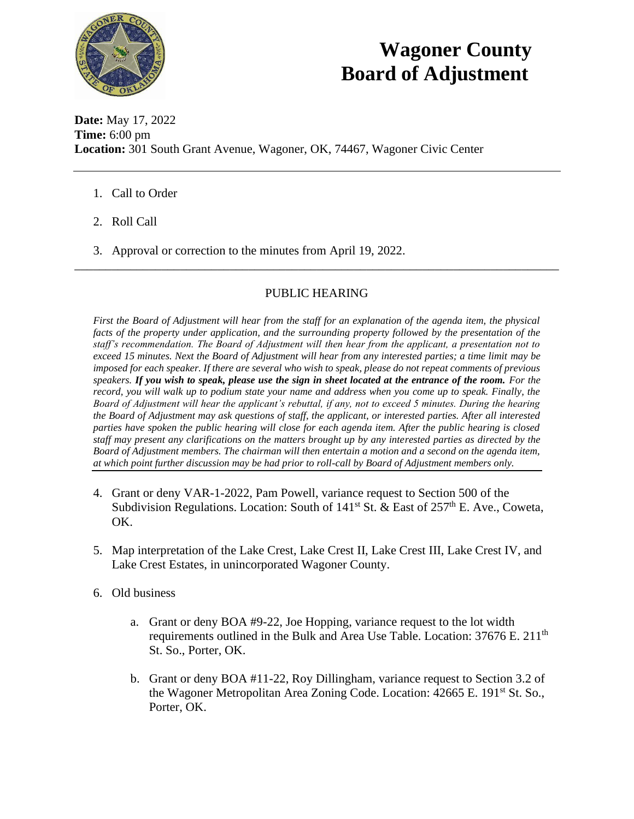

## **Wagoner County Board of Adjustment**

**Date:** May 17, 2022 **Time:** 6:00 pm **Location:** 301 South Grant Avenue, Wagoner, OK, 74467, Wagoner Civic Center

- 1. Call to Order
- 2. Roll Call
- 3. Approval or correction to the minutes from April 19, 2022.

## PUBLIC HEARING

\_\_\_\_\_\_\_\_\_\_\_\_\_\_\_\_\_\_\_\_\_\_\_\_\_\_\_\_\_\_\_\_\_\_\_\_\_\_\_\_\_\_\_\_\_\_\_\_\_\_\_\_\_\_\_\_\_\_\_\_\_\_\_\_\_\_\_\_\_\_\_\_\_\_\_\_\_\_

*First the Board of Adjustment will hear from the staff for an explanation of the agenda item, the physical facts of the property under application, and the surrounding property followed by the presentation of the staff's recommendation. The Board of Adjustment will then hear from the applicant, a presentation not to exceed 15 minutes. Next the Board of Adjustment will hear from any interested parties; a time limit may be imposed for each speaker. If there are several who wish to speak, please do not repeat comments of previous speakers. If you wish to speak, please use the sign in sheet located at the entrance of the room. For the record, you will walk up to podium state your name and address when you come up to speak. Finally, the Board of Adjustment will hear the applicant's rebuttal, if any, not to exceed 5 minutes. During the hearing the Board of Adjustment may ask questions of staff, the applicant, or interested parties. After all interested parties have spoken the public hearing will close for each agenda item. After the public hearing is closed staff may present any clarifications on the matters brought up by any interested parties as directed by the Board of Adjustment members. The chairman will then entertain a motion and a second on the agenda item, at which point further discussion may be had prior to roll-call by Board of Adjustment members only.* 

- 4. Grant or deny VAR-1-2022, Pam Powell, variance request to Section 500 of the Subdivision Regulations. Location: South of  $141<sup>st</sup>$  St. & East of  $257<sup>th</sup>$  E. Ave., Coweta, OK.
- 5. Map interpretation of the Lake Crest, Lake Crest II, Lake Crest III, Lake Crest IV, and Lake Crest Estates, in unincorporated Wagoner County.
- 6. Old business
	- a. Grant or deny BOA #9-22, Joe Hopping, variance request to the lot width requirements outlined in the Bulk and Area Use Table. Location:  $37676$  E.  $211<sup>th</sup>$ St. So., Porter, OK.
	- b. Grant or deny BOA #11-22, Roy Dillingham, variance request to Section 3.2 of the Wagoner Metropolitan Area Zoning Code. Location: 42665 E. 191<sup>st</sup> St. So., Porter, OK.